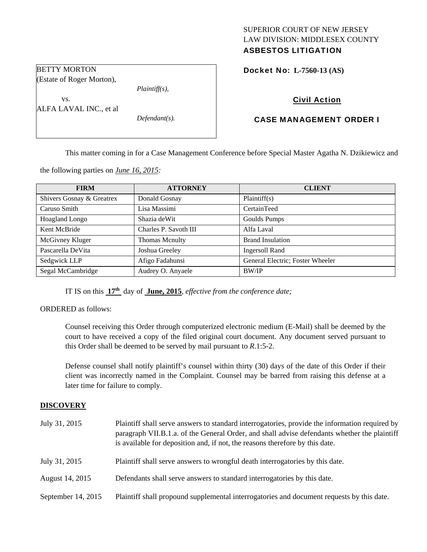# SUPERIOR COURT OF NEW JERSEY LAW DIVISION: MIDDLESEX COUNTY

# ASBESTOS LITIGATION

Docket No: **L-7560-13 (AS)** 

# Civil Action

# CASE MANAGEMENT ORDER I

This matter coming in for a Case Management Conference before Special Master Agatha N. Dzikiewicz and

the following parties on *June 16, 2015:* 

BETTY MORTON

vs.

(Estate of Roger Morton),

ALFA LAVAL INC., et al

| <b>FIRM</b>               | <b>ATTORNEY</b>       | <b>CLIENT</b>                    |
|---------------------------|-----------------------|----------------------------------|
| Shivers Gosnay & Greatrex | Donald Gosnay         | Plaintiff(s)                     |
| Caruso Smith              | Lisa Massimi          | CertainTeed                      |
| <b>Hoagland Longo</b>     | Shazia de Wit         | Goulds Pumps                     |
| Kent McBride              | Charles P. Savoth III | Alfa Laval                       |
| McGivney Kluger           | <b>Thomas Mcnulty</b> | <b>Brand Insulation</b>          |
| Pascarella DeVita         | Joshua Greeley        | <b>Ingersoll Rand</b>            |
| Sedgwick LLP              | Afigo Fadahunsi       | General Electric; Foster Wheeler |
| Segal McCambridge         | Audrey O. Anyaele     | <b>BW/IP</b>                     |

IT IS on this **17th** day of **June, 2015**, *effective from the conference date;*

*Plaintiff(s),* 

*Defendant(s).* 

ORDERED as follows:

Counsel receiving this Order through computerized electronic medium (E-Mail) shall be deemed by the court to have received a copy of the filed original court document. Any document served pursuant to this Order shall be deemed to be served by mail pursuant to *R*.1:5-2.

Defense counsel shall notify plaintiff's counsel within thirty (30) days of the date of this Order if their client was incorrectly named in the Complaint. Counsel may be barred from raising this defense at a later time for failure to comply.

#### **DISCOVERY**

| July 31, 2015      | Plaintiff shall serve answers to standard interrogatories, provide the information required by<br>paragraph VII.B.1.a. of the General Order, and shall advise defendants whether the plaintiff<br>is available for deposition and, if not, the reasons therefore by this date. |
|--------------------|--------------------------------------------------------------------------------------------------------------------------------------------------------------------------------------------------------------------------------------------------------------------------------|
| July 31, 2015      | Plaintiff shall serve answers to wrongful death interrogatories by this date.                                                                                                                                                                                                  |
| August 14, 2015    | Defendants shall serve answers to standard interrogatories by this date.                                                                                                                                                                                                       |
| September 14, 2015 | Plaintiff shall propound supplemental interrogatories and document requests by this date.                                                                                                                                                                                      |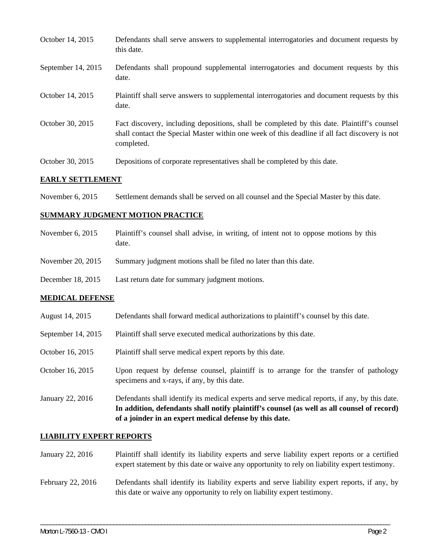| October 14, 2015   | Defendants shall serve answers to supplemental interrogatories and document requests by<br>this date.                                                                                                       |
|--------------------|-------------------------------------------------------------------------------------------------------------------------------------------------------------------------------------------------------------|
| September 14, 2015 | Defendants shall propound supplemental interrogatories and document requests by this<br>date.                                                                                                               |
| October 14, 2015   | Plaintiff shall serve answers to supplemental interrogatories and document requests by this<br>date.                                                                                                        |
| October 30, 2015   | Fact discovery, including depositions, shall be completed by this date. Plaintiff's counsel<br>shall contact the Special Master within one week of this deadline if all fact discovery is not<br>completed. |
| October 30, 2015   | Depositions of corporate representatives shall be completed by this date.                                                                                                                                   |

#### **EARLY SETTLEMENT**

November 6, 2015 Settlement demands shall be served on all counsel and the Special Master by this date.

## **SUMMARY JUDGMENT MOTION PRACTICE**

| November $6, 2015$ | Plaintiff's counsel shall advise, in writing, of intent not to oppose motions by this<br>date. |
|--------------------|------------------------------------------------------------------------------------------------|
| November 20, 2015  | Summary judgment motions shall be filed no later than this date.                               |
| December 18, 2015  | Last return date for summary judgment motions.                                                 |

## **MEDICAL DEFENSE**

- August 14, 2015 Defendants shall forward medical authorizations to plaintiff's counsel by this date.
- September 14, 2015 Plaintiff shall serve executed medical authorizations by this date.
- October 16, 2015 Plaintiff shall serve medical expert reports by this date.
- October 16, 2015 Upon request by defense counsel, plaintiff is to arrange for the transfer of pathology specimens and x-rays, if any, by this date.
- January 22, 2016 Defendants shall identify its medical experts and serve medical reports, if any, by this date. **In addition, defendants shall notify plaintiff's counsel (as well as all counsel of record) of a joinder in an expert medical defense by this date.**

#### **LIABILITY EXPERT REPORTS**

January 22, 2016 Plaintiff shall identify its liability experts and serve liability expert reports or a certified expert statement by this date or waive any opportunity to rely on liability expert testimony.

# February 22, 2016 Defendants shall identify its liability experts and serve liability expert reports, if any, by this date or waive any opportunity to rely on liability expert testimony.

\_\_\_\_\_\_\_\_\_\_\_\_\_\_\_\_\_\_\_\_\_\_\_\_\_\_\_\_\_\_\_\_\_\_\_\_\_\_\_\_\_\_\_\_\_\_\_\_\_\_\_\_\_\_\_\_\_\_\_\_\_\_\_\_\_\_\_\_\_\_\_\_\_\_\_\_\_\_\_\_\_\_\_\_\_\_\_\_\_\_\_\_\_\_\_\_\_\_\_\_\_\_\_\_\_\_\_\_\_\_